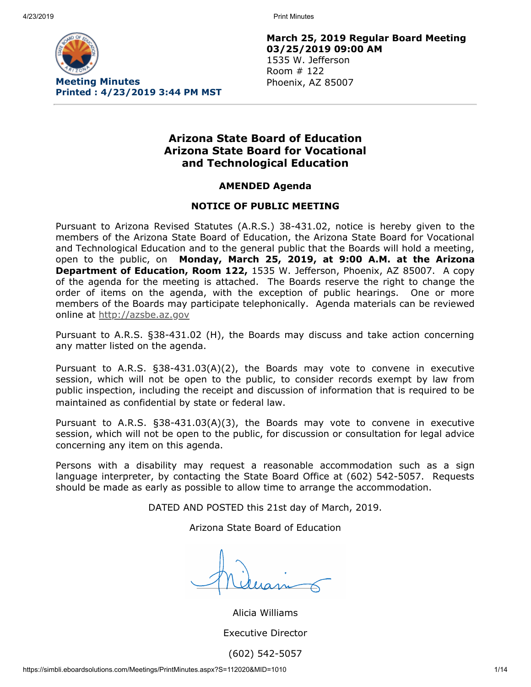

**March 25, 2019 Regular Board Meeting 03/25/2019 09:00 AM** 1535 W. Jefferson Room # 122 Phoenix, AZ 85007

# **Arizona State Board of Education Arizona State Board for Vocational and Technological Education**

## **AMENDED Agenda**

### **NOTICE OF PUBLIC MEETING**

Pursuant to Arizona Revised Statutes (A.R.S.) 38-431.02, notice is hereby given to the members of the Arizona State Board of Education, the Arizona State Board for Vocational and Technological Education and to the general public that the Boards will hold a meeting, open to the public, on **Monday, March 25, 2019, at 9:00 A.M. at the Arizona Department of Education, Room 122,** 1535 W. Jefferson, Phoenix, AZ 85007. A copy of the agenda for the meeting is attached. The Boards reserve the right to change the order of items on the agenda, with the exception of public hearings. One or more members of the Boards may participate telephonically. Agenda materials can be reviewed online at [http://azsbe.az.gov](http://azsbe.az.gov/)

Pursuant to A.R.S. §38-431.02 (H), the Boards may discuss and take action concerning any matter listed on the agenda.

Pursuant to A.R.S. §38-431.03(A)(2), the Boards may vote to convene in executive session, which will not be open to the public, to consider records exempt by law from public inspection, including the receipt and discussion of information that is required to be maintained as confidential by state or federal law.

Pursuant to A.R.S. §38-431.03(A)(3), the Boards may vote to convene in executive session, which will not be open to the public, for discussion or consultation for legal advice concerning any item on this agenda.

Persons with a disability may request a reasonable accommodation such as a sign language interpreter, by contacting the State Board Office at (602) 542-5057. Requests should be made as early as possible to allow time to arrange the accommodation.

DATED AND POSTED this 21st day of March, 2019.

Arizona State Board of Education

Alicia Williams Executive Director (602) 542-5057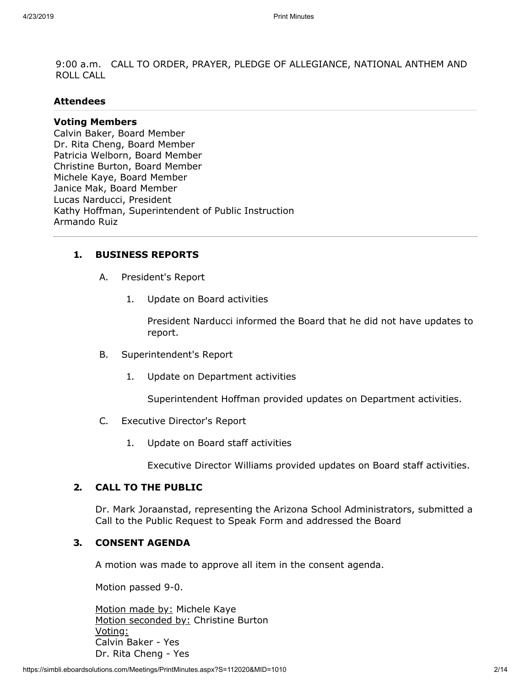9:00 a.m. CALL TO ORDER, PRAYER, PLEDGE OF ALLEGIANCE, NATIONAL ANTHEM AND ROLL CALL

#### **Attendees**

#### **Voting Members**

Calvin Baker, Board Member Dr. Rita Cheng, Board Member Patricia Welborn, Board Member Christine Burton, Board Member Michele Kaye, Board Member Janice Mak, Board Member Lucas Narducci, President Kathy Hoffman, Superintendent of Public Instruction Armando Ruiz

#### **1. BUSINESS REPORTS**

- A. President's Report
	- 1. Update on Board activities

President Narducci informed the Board that he did not have updates to report.

- B. Superintendent's Report
	- 1. Update on Department activities

Superintendent Hoffman provided updates on Department activities.

- C. Executive Director's Report
	- 1. Update on Board staff activities

Executive Director Williams provided updates on Board staff activities.

## **2. CALL TO THE PUBLIC**

Dr. Mark Joraanstad, representing the Arizona School Administrators, submitted a Call to the Public Request to Speak Form and addressed the Board

## **3. CONSENT AGENDA**

A motion was made to approve all item in the consent agenda.

Motion passed 9-0.

Motion made by: Michele Kaye Motion seconded by: Christine Burton Voting: Calvin Baker - Yes Dr. Rita Cheng - Yes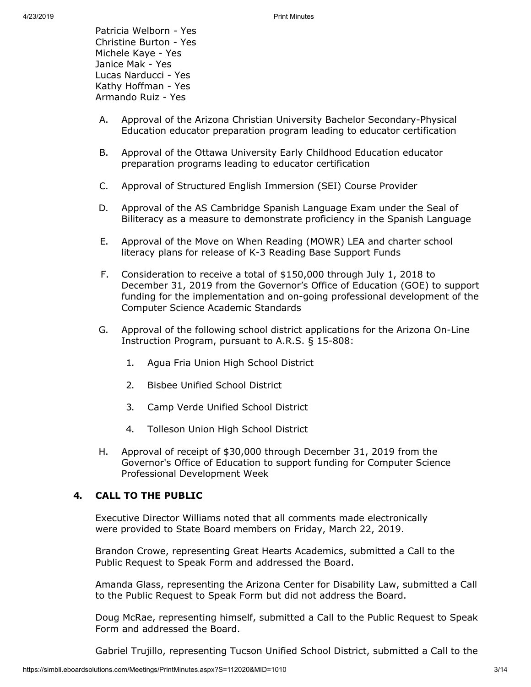Patricia Welborn - Yes Christine Burton - Yes Michele Kaye - Yes Janice Mak - Yes Lucas Narducci - Yes Kathy Hoffman - Yes Armando Ruiz - Yes

- A. Approval of the Arizona Christian University Bachelor Secondary-Physical Education educator preparation program leading to educator certification
- B. Approval of the Ottawa University Early Childhood Education educator preparation programs leading to educator certification
- C. Approval of Structured English Immersion (SEI) Course Provider
- D. Approval of the AS Cambridge Spanish Language Exam under the Seal of Biliteracy as a measure to demonstrate proficiency in the Spanish Language
- E. Approval of the Move on When Reading (MOWR) LEA and charter school literacy plans for release of K-3 Reading Base Support Funds
- F. Consideration to receive a total of \$150,000 through July 1, 2018 to December 31, 2019 from the Governor's Office of Education (GOE) to support funding for the implementation and on-going professional development of the Computer Science Academic Standards
- G. Approval of the following school district applications for the Arizona On-Line Instruction Program, pursuant to A.R.S. § 15-808:
	- 1. Agua Fria Union High School District
	- 2. Bisbee Unified School District
	- 3. Camp Verde Unified School District
	- 4. Tolleson Union High School District
- H. Approval of receipt of \$30,000 through December 31, 2019 from the Governor's Office of Education to support funding for Computer Science Professional Development Week

## **4. CALL TO THE PUBLIC**

Executive Director Williams noted that all comments made electronically were provided to State Board members on Friday, March 22, 2019.

Brandon Crowe, representing Great Hearts Academics, submitted a Call to the Public Request to Speak Form and addressed the Board.

Amanda Glass, representing the Arizona Center for Disability Law, submitted a Call to the Public Request to Speak Form but did not address the Board.

Doug McRae, representing himself, submitted a Call to the Public Request to Speak Form and addressed the Board.

Gabriel Trujillo, representing Tucson Unified School District, submitted a Call to the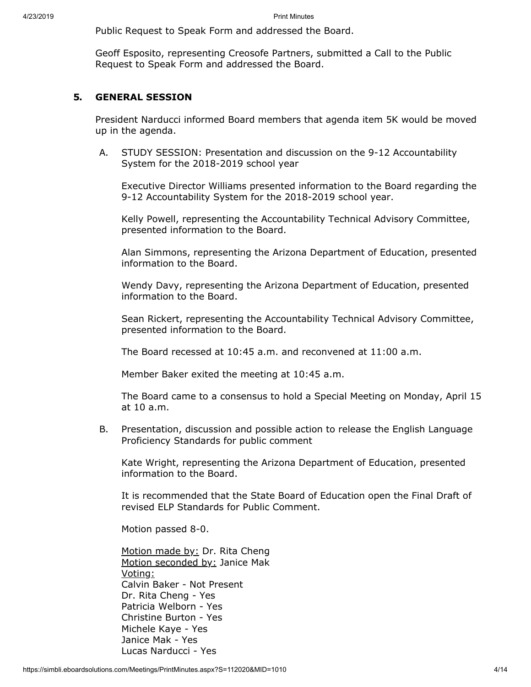Public Request to Speak Form and addressed the Board.

Geoff Esposito, representing Creosofe Partners, submitted a Call to the Public Request to Speak Form and addressed the Board.

## **5. GENERAL SESSION**

President Narducci informed Board members that agenda item 5K would be moved up in the agenda.

A. STUDY SESSION: Presentation and discussion on the 9-12 Accountability System for the 2018-2019 school year

Executive Director Williams presented information to the Board regarding the 9-12 Accountability System for the 2018-2019 school year.

Kelly Powell, representing the Accountability Technical Advisory Committee, presented information to the Board.

Alan Simmons, representing the Arizona Department of Education, presented information to the Board.

Wendy Davy, representing the Arizona Department of Education, presented information to the Board.

Sean Rickert, representing the Accountability Technical Advisory Committee, presented information to the Board.

The Board recessed at 10:45 a.m. and reconvened at 11:00 a.m.

Member Baker exited the meeting at 10:45 a.m.

The Board came to a consensus to hold a Special Meeting on Monday, April 15 at 10 a.m.

B. Presentation, discussion and possible action to release the English Language Proficiency Standards for public comment

Kate Wright, representing the Arizona Department of Education, presented information to the Board.

It is recommended that the State Board of Education open the Final Draft of revised ELP Standards for Public Comment.

Motion passed 8-0.

Motion made by: Dr. Rita Cheng Motion seconded by: Janice Mak Voting: Calvin Baker - Not Present Dr. Rita Cheng - Yes Patricia Welborn - Yes Christine Burton - Yes Michele Kaye - Yes Janice Mak - Yes Lucas Narducci - Yes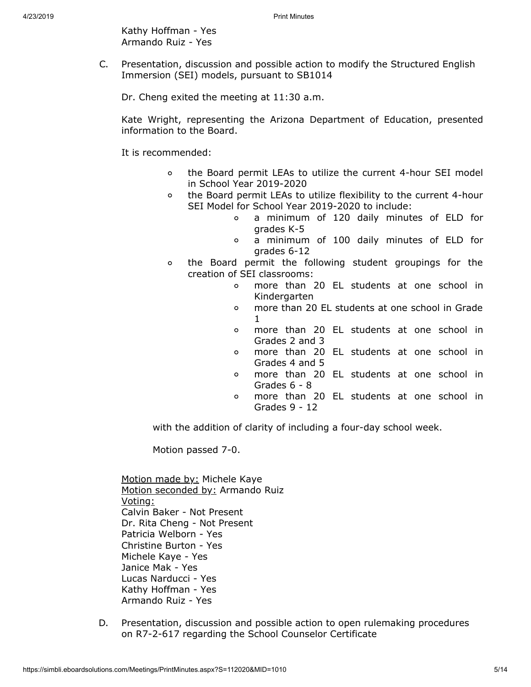Kathy Hoffman - Yes Armando Ruiz - Yes

C. Presentation, discussion and possible action to modify the Structured English Immersion (SEI) models, pursuant to SB1014

Dr. Cheng exited the meeting at 11:30 a.m.

Kate Wright, representing the Arizona Department of Education, presented information to the Board.

It is recommended:

- $\circ$ the Board permit LEAs to utilize the current 4-hour SEI model in School Year 2019-2020
- $\circ$ the Board permit LEAs to utilize flexibility to the current 4-hour SEI Model for School Year 2019-2020 to include:
	- $\Omega$ a minimum of 120 daily minutes of ELD for grades K-5
	- a minimum of 100 daily minutes of ELD for  $\circ$ grades 6-12
- the Board permit the following student groupings for the  $\circ$ creation of SEI classrooms:
	- more than 20 EL students at one school in  $\Omega$ Kindergarten
	- more than 20 EL students at one school in Grade  $\circ$ 1
	- more than 20 EL students at one school in  $\circ$ Grades 2 and 3
	- more than 20 EL students at one school in  $\circ$ Grades 4 and 5
	- more than 20 EL students at one school in  $\circ$ Grades 6 - 8
	- more than 20 EL students at one school in  $\circ$ Grades 9 - 12

with the addition of clarity of including a four-day school week.

Motion passed 7-0.

Motion made by: Michele Kaye Motion seconded by: Armando Ruiz Voting: Calvin Baker - Not Present Dr. Rita Cheng - Not Present Patricia Welborn - Yes Christine Burton - Yes Michele Kaye - Yes Janice Mak - Yes Lucas Narducci - Yes Kathy Hoffman - Yes Armando Ruiz - Yes

D. Presentation, discussion and possible action to open rulemaking procedures on R7-2-617 regarding the School Counselor Certificate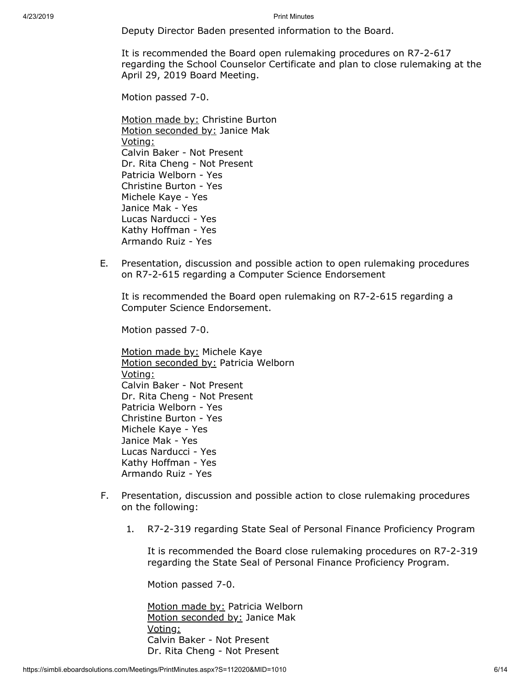Deputy Director Baden presented information to the Board.

It is recommended the Board open rulemaking procedures on R7-2-617 regarding the School Counselor Certificate and plan to close rulemaking at the April 29, 2019 Board Meeting.

Motion passed 7-0.

Motion made by: Christine Burton Motion seconded by: Janice Mak Voting: Calvin Baker - Not Present Dr. Rita Cheng - Not Present Patricia Welborn - Yes Christine Burton - Yes Michele Kaye - Yes Janice Mak - Yes Lucas Narducci - Yes Kathy Hoffman - Yes Armando Ruiz - Yes

E. Presentation, discussion and possible action to open rulemaking procedures on R7-2-615 regarding a Computer Science Endorsement

It is recommended the Board open rulemaking on R7-2-615 regarding a Computer Science Endorsement.

Motion passed 7-0.

Motion made by: Michele Kaye Motion seconded by: Patricia Welborn Voting: Calvin Baker - Not Present Dr. Rita Cheng - Not Present Patricia Welborn - Yes Christine Burton - Yes Michele Kaye - Yes Janice Mak - Yes Lucas Narducci - Yes Kathy Hoffman - Yes Armando Ruiz - Yes

- F. Presentation, discussion and possible action to close rulemaking procedures on the following:
	- 1. R7-2-319 regarding State Seal of Personal Finance Proficiency Program

It is recommended the Board close rulemaking procedures on R7-2-319 regarding the State Seal of Personal Finance Proficiency Program.

Motion passed 7-0.

Motion made by: Patricia Welborn Motion seconded by: Janice Mak Voting: Calvin Baker - Not Present Dr. Rita Cheng - Not Present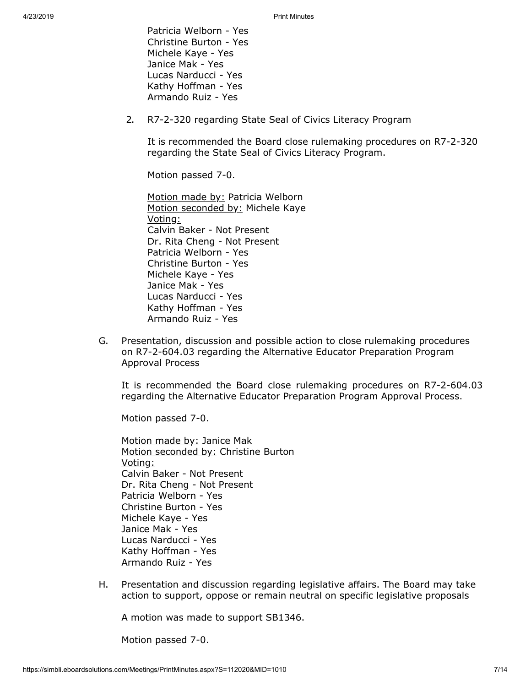Patricia Welborn - Yes Christine Burton - Yes Michele Kaye - Yes Janice Mak - Yes Lucas Narducci - Yes Kathy Hoffman - Yes Armando Ruiz - Yes

2. R7-2-320 regarding State Seal of Civics Literacy Program

It is recommended the Board close rulemaking procedures on R7-2-320 regarding the State Seal of Civics Literacy Program.

Motion passed 7-0.

Motion made by: Patricia Welborn Motion seconded by: Michele Kaye Voting: Calvin Baker - Not Present Dr. Rita Cheng - Not Present Patricia Welborn - Yes Christine Burton - Yes Michele Kaye - Yes Janice Mak - Yes Lucas Narducci - Yes Kathy Hoffman - Yes Armando Ruiz - Yes

G. Presentation, discussion and possible action to close rulemaking procedures on R7-2-604.03 regarding the Alternative Educator Preparation Program Approval Process

It is recommended the Board close rulemaking procedures on R7-2-604.03 regarding the Alternative Educator Preparation Program Approval Process.

Motion passed 7-0.

Motion made by: Janice Mak Motion seconded by: Christine Burton Voting: Calvin Baker - Not Present Dr. Rita Cheng - Not Present Patricia Welborn - Yes Christine Burton - Yes Michele Kaye - Yes Janice Mak - Yes Lucas Narducci - Yes Kathy Hoffman - Yes Armando Ruiz - Yes

H. Presentation and discussion regarding legislative affairs. The Board may take action to support, oppose or remain neutral on specific legislative proposals

A motion was made to support SB1346.

Motion passed 7-0.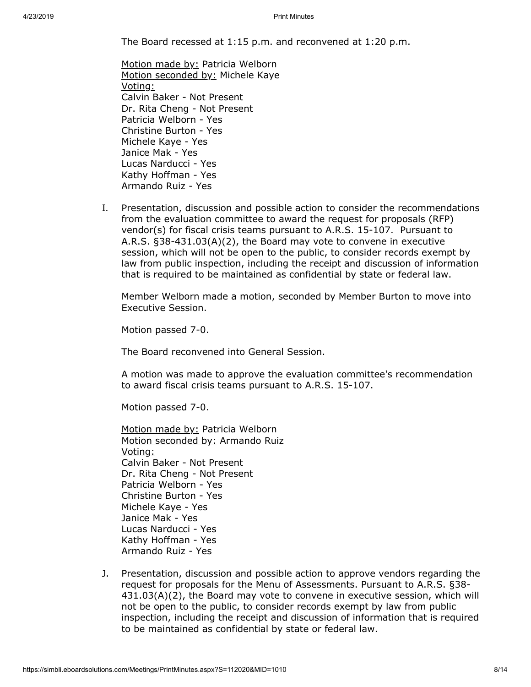The Board recessed at 1:15 p.m. and reconvened at 1:20 p.m.

- Motion made by: Patricia Welborn Motion seconded by: Michele Kaye Voting: Calvin Baker - Not Present Dr. Rita Cheng - Not Present Patricia Welborn - Yes Christine Burton - Yes Michele Kaye - Yes Janice Mak - Yes Lucas Narducci - Yes Kathy Hoffman - Yes Armando Ruiz - Yes
- I. Presentation, discussion and possible action to consider the recommendations from the evaluation committee to award the request for proposals (RFP) vendor(s) for fiscal crisis teams pursuant to A.R.S. 15-107. Pursuant to A.R.S. §38-431.03(A)(2), the Board may vote to convene in executive session, which will not be open to the public, to consider records exempt by law from public inspection, including the receipt and discussion of information that is required to be maintained as confidential by state or federal law.

Member Welborn made a motion, seconded by Member Burton to move into Executive Session.

Motion passed 7-0.

The Board reconvened into General Session.

A motion was made to approve the evaluation committee's recommendation to award fiscal crisis teams pursuant to A.R.S. 15-107.

Motion passed 7-0.

- Motion made by: Patricia Welborn Motion seconded by: Armando Ruiz Voting: Calvin Baker - Not Present Dr. Rita Cheng - Not Present Patricia Welborn - Yes Christine Burton - Yes Michele Kaye - Yes Janice Mak - Yes Lucas Narducci - Yes Kathy Hoffman - Yes Armando Ruiz - Yes
- J. Presentation, discussion and possible action to approve vendors regarding the request for proposals for the Menu of Assessments . Pursuant to A.R.S. §38- 431.03(A)(2), the Board may vote to convene in executive session, which will not be open to the public, to consider records exempt by law from public inspection, including the receipt and discussion of information that is required to be maintained as confidential by state or federal law.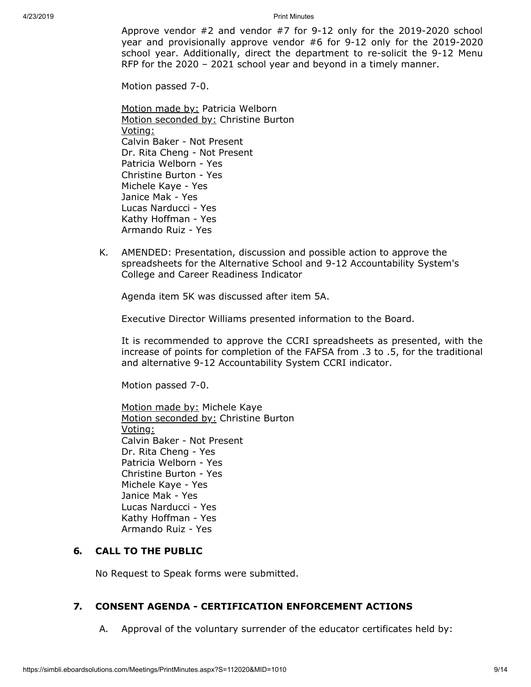Approve vendor #2 and vendor #7 for 9-12 only for the 2019-2020 school year and provisionally approve vendor #6 for 9-12 only for the 2019-2020 school year. Additionally, direct the department to re-solicit the 9-12 Menu RFP for the 2020 – 2021 school year and beyond in a timely manner.

Motion passed 7-0.

Motion made by: Patricia Welborn Motion seconded by: Christine Burton Voting: Calvin Baker - Not Present Dr. Rita Cheng - Not Present Patricia Welborn - Yes Christine Burton - Yes Michele Kaye - Yes Janice Mak - Yes Lucas Narducci - Yes Kathy Hoffman - Yes Armando Ruiz - Yes

K. AMENDED: Presentation, discussion and possible action to approve the spreadsheets for the Alternative School and 9-12 Accountability System's College and Career Readiness Indicator

Agenda item 5K was discussed after item 5A.

Executive Director Williams presented information to the Board.

It is recommended to approve the CCRI spreadsheets as presented, with the increase of points for completion of the FAFSA from .3 to .5, for the traditional and alternative 9-12 Accountability System CCRI indicator.

Motion passed 7-0.

Motion made by: Michele Kaye Motion seconded by: Christine Burton Voting: Calvin Baker - Not Present Dr. Rita Cheng - Yes Patricia Welborn - Yes Christine Burton - Yes Michele Kaye - Yes Janice Mak - Yes Lucas Narducci - Yes Kathy Hoffman - Yes Armando Ruiz - Yes

# **6. CALL TO THE PUBLIC**

No Request to Speak forms were submitted.

## **7. CONSENT AGENDA - CERTIFICATION ENFORCEMENT ACTIONS**

A. Approval of the voluntary surrender of the educator certificates held by: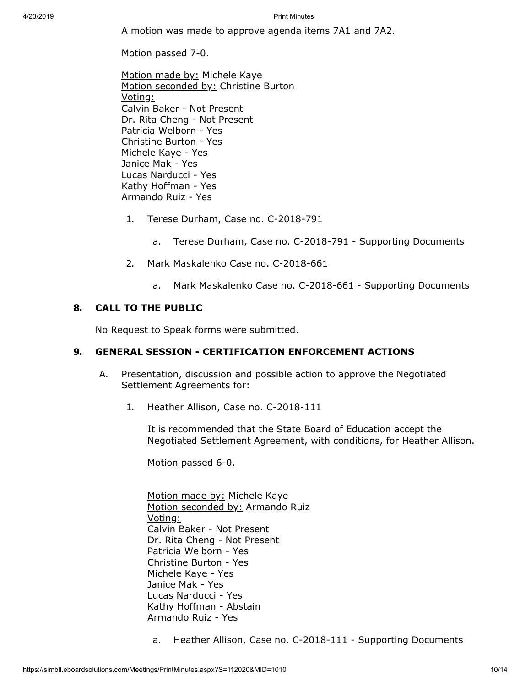A motion was made to approve agenda items 7A1 and 7A2.

Motion passed 7-0.

Motion made by: Michele Kaye Motion seconded by: Christine Burton Voting: Calvin Baker - Not Present Dr. Rita Cheng - Not Present Patricia Welborn - Yes Christine Burton - Yes Michele Kaye - Yes Janice Mak - Yes Lucas Narducci - Yes Kathy Hoffman - Yes Armando Ruiz - Yes

- 1. Terese Durham, Case no. C-2018-791
	- a. Terese Durham, Case no. C-2018-791 Supporting Documents
- 2. Mark Maskalenko Case no. C-2018-661
	- a. Mark Maskalenko Case no. C-2018-661 Supporting Documents

#### **8. CALL TO THE PUBLIC**

No Request to Speak forms were submitted.

#### **9. GENERAL SESSION - CERTIFICATION ENFORCEMENT ACTIONS**

- A. Presentation, discussion and possible action to approve the Negotiated Settlement Agreements for:
	- 1. Heather Allison, Case no. C-2018-111

It is recommended that the State Board of Education accept the Negotiated Settlement Agreement, with conditions, for Heather Allison.

Motion passed 6-0.

Motion made by: Michele Kaye Motion seconded by: Armando Ruiz Voting: Calvin Baker - Not Present Dr. Rita Cheng - Not Present Patricia Welborn - Yes Christine Burton - Yes Michele Kaye - Yes Janice Mak - Yes Lucas Narducci - Yes Kathy Hoffman - Abstain Armando Ruiz - Yes

a. Heather Allison, Case no. C-2018-111 - Supporting Documents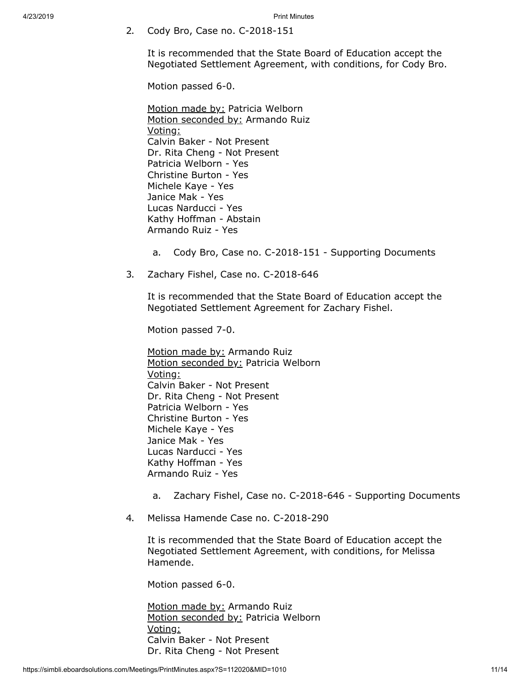2. Cody Bro, Case no. C-2018-151

It is recommended that the State Board of Education accept the Negotiated Settlement Agreement, with conditions, for Cody Bro.

Motion passed 6-0.

Motion made by: Patricia Welborn Motion seconded by: Armando Ruiz Voting: Calvin Baker - Not Present Dr. Rita Cheng - Not Present Patricia Welborn - Yes Christine Burton - Yes Michele Kaye - Yes Janice Mak - Yes Lucas Narducci - Yes Kathy Hoffman - Abstain Armando Ruiz - Yes

- a. Cody Bro, Case no. C-2018-151 Supporting Documents
- 3. Zachary Fishel, Case no. C-2018-646

It is recommended that the State Board of Education accept the Negotiated Settlement Agreement for Zachary Fishel.

Motion passed 7-0.

Motion made by: Armando Ruiz Motion seconded by: Patricia Welborn Voting: Calvin Baker - Not Present Dr. Rita Cheng - Not Present Patricia Welborn - Yes Christine Burton - Yes Michele Kaye - Yes Janice Mak - Yes Lucas Narducci - Yes Kathy Hoffman - Yes Armando Ruiz - Yes

- a. Zachary Fishel, Case no. C-2018-646 Supporting Documents
- 4. Melissa Hamende Case no. C-2018-290

It is recommended that the State Board of Education accept the Negotiated Settlement Agreement, with conditions, for Melissa Hamende.

Motion passed 6-0.

Motion made by: Armando Ruiz Motion seconded by: Patricia Welborn Voting: Calvin Baker - Not Present Dr. Rita Cheng - Not Present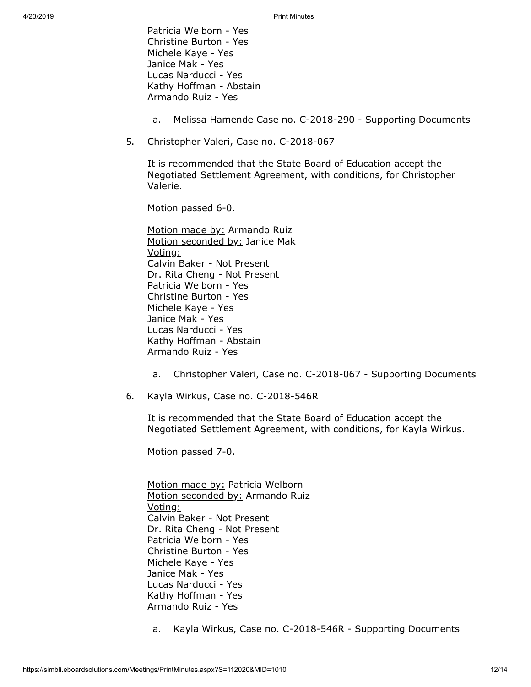Patricia Welborn - Yes Christine Burton - Yes Michele Kaye - Yes Janice Mak - Yes Lucas Narducci - Yes Kathy Hoffman - Abstain Armando Ruiz - Yes

- a. Melissa Hamende Case no. C-2018-290 Supporting Documents
- 5. Christopher Valeri, Case no. C-2018-067

It is recommended that the State Board of Education accept the Negotiated Settlement Agreement, with conditions, for Christopher Valerie.

Motion passed 6-0.

Motion made by: Armando Ruiz Motion seconded by: Janice Mak Voting: Calvin Baker - Not Present Dr. Rita Cheng - Not Present Patricia Welborn - Yes Christine Burton - Yes Michele Kaye - Yes Janice Mak - Yes Lucas Narducci - Yes Kathy Hoffman - Abstain Armando Ruiz - Yes

- a. Christopher Valeri, Case no. C-2018-067 Supporting Documents
- 6. Kayla Wirkus, Case no. C-2018-546R

It is recommended that the State Board of Education accept the Negotiated Settlement Agreement, with conditions, for Kayla Wirkus.

Motion passed 7-0.

Motion made by: Patricia Welborn Motion seconded by: Armando Ruiz Voting: Calvin Baker - Not Present Dr. Rita Cheng - Not Present Patricia Welborn - Yes Christine Burton - Yes Michele Kaye - Yes Janice Mak - Yes Lucas Narducci - Yes Kathy Hoffman - Yes Armando Ruiz - Yes

a. Kayla Wirkus, Case no. C-2018-546R - Supporting Documents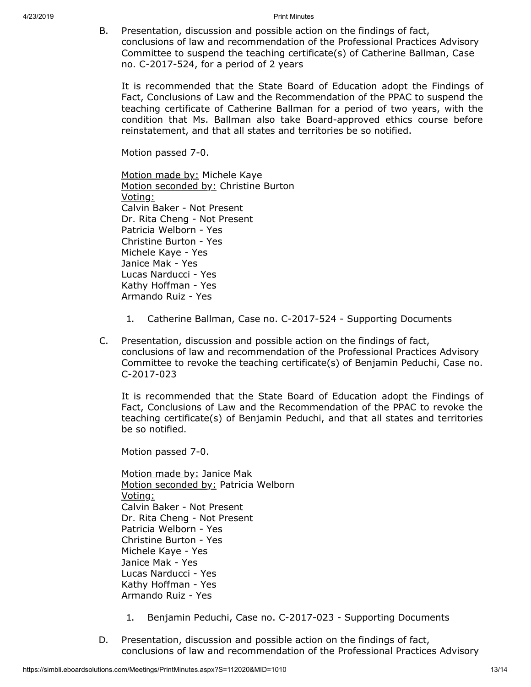B. Presentation, discussion and possible action on the findings of fact, conclusions of law and recommendation of the Professional Practices Advisory Committee to suspend the teaching certificate(s) of Catherine Ballman, Case no. C-2017-524, for a period of 2 years

It is recommended that the State Board of Education adopt the Findings of Fact, Conclusions of Law and the Recommendation of the PPAC to suspend the teaching certificate of Catherine Ballman for a period of two years, with the condition that Ms. Ballman also take Board-approved ethics course before reinstatement, and that all states and territories be so notified.

Motion passed 7-0.

Motion made by: Michele Kaye Motion seconded by: Christine Burton Voting: Calvin Baker - Not Present Dr. Rita Cheng - Not Present Patricia Welborn - Yes Christine Burton - Yes Michele Kaye - Yes Janice Mak - Yes Lucas Narducci - Yes Kathy Hoffman - Yes Armando Ruiz - Yes

- 1. Catherine Ballman, Case no. C-2017-524 Supporting Documents
- C. Presentation, discussion and possible action on the findings of fact, conclusions of law and recommendation of the Professional Practices Advisory Committee to revoke the teaching certificate(s) of Benjamin Peduchi, Case no. C-2017-023

It is recommended that the State Board of Education adopt the Findings of Fact, Conclusions of Law and the Recommendation of the PPAC to revoke the teaching certificate(s) of Benjamin Peduchi, and that all states and territories be so notified.

Motion passed 7-0.

Motion made by: Janice Mak Motion seconded by: Patricia Welborn Voting: Calvin Baker - Not Present Dr. Rita Cheng - Not Present Patricia Welborn - Yes Christine Burton - Yes Michele Kaye - Yes Janice Mak - Yes Lucas Narducci - Yes Kathy Hoffman - Yes Armando Ruiz - Yes

- 1. Benjamin Peduchi, Case no. C-2017-023 Supporting Documents
- D. Presentation, discussion and possible action on the findings of fact, conclusions of law and recommendation of the Professional Practices Advisory